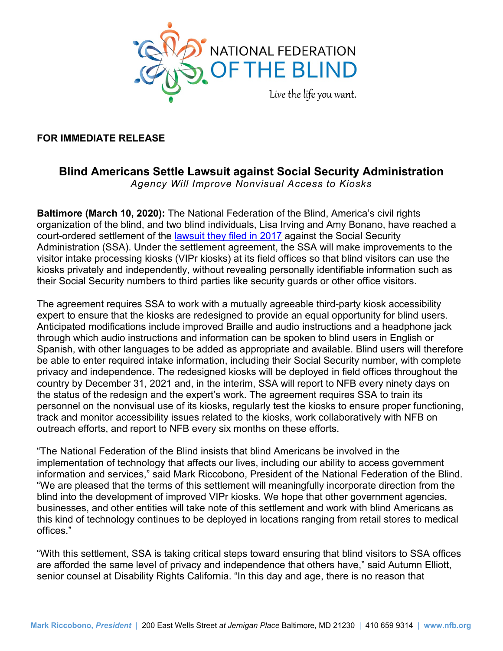

#### **FOR IMMEDIATE RELEASE**

# **Blind Americans Settle Lawsuit against Social Security Administration**

*Agency Will Improve Nonvisual Access to Kiosks* 

**Baltimore (March 10, 2020):** The National Federation of the Blind, America's civil rights organization of the blind, and two blind individuals, Lisa Irving and Amy Bonano, have reached a court-ordered settlement of the [lawsuit they filed in 2017](https://www.nfb.org/about-us/press-room/national-federation-blind-and-two-blind-individuals-file-lawsuit-against-ssa) against the Social Security Administration (SSA). Under the settlement agreement, the SSA will make improvements to the visitor intake processing kiosks (VIPr kiosks) at its field offices so that blind visitors can use the kiosks privately and independently, without revealing personally identifiable information such as their Social Security numbers to third parties like security guards or other office visitors.

 expert to ensure that the kiosks are redesigned to provide an equal opportunity for blind users. country by December 31, 2021 and, in the interim, SSA will report to NFB every ninety days on outreach efforts, and report to NFB every six months on these efforts. The agreement requires SSA to work with a mutually agreeable third-party kiosk accessibility Anticipated modifications include improved Braille and audio instructions and a headphone jack through which audio instructions and information can be spoken to blind users in English or Spanish, with other languages to be added as appropriate and available. Blind users will therefore be able to enter required intake information, including their Social Security number, with complete privacy and independence. The redesigned kiosks will be deployed in field offices throughout the the status of the redesign and the expert's work. The agreement requires SSA to train its personnel on the nonvisual use of its kiosks, regularly test the kiosks to ensure proper functioning, track and monitor accessibility issues related to the kiosks, work collaboratively with NFB on

"The National Federation of the Blind insists that blind Americans be involved in the implementation of technology that affects our lives, including our ability to access government information and services," said Mark Riccobono, President of the National Federation of the Blind. "We are pleased that the terms of this settlement will meaningfully incorporate direction from the blind into the development of improved VIPr kiosks. We hope that other government agencies, businesses, and other entities will take note of this settlement and work with blind Americans as this kind of technology continues to be deployed in locations ranging from retail stores to medical offices."

"With this settlement, SSA is taking critical steps toward ensuring that blind visitors to SSA offices are afforded the same level of privacy and independence that others have," said Autumn Elliott, senior counsel at Disability Rights California. "In this day and age, there is no reason that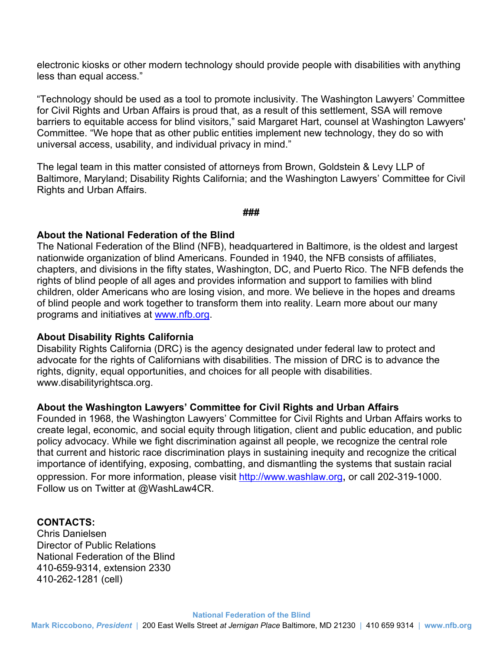electronic kiosks or other modern technology should provide people with disabilities with anything less than equal access."

 barriers to equitable access for blind visitors," said Margaret Hart, counsel at Washington Lawyers' Committee. "We hope that as other public entities implement new technology, they do so with universal access, usability, and individual privacy in mind." "Technology should be used as a tool to promote inclusivity. The Washington Lawyers' Committee for Civil Rights and Urban Affairs is proud that, as a result of this settlement, SSA will remove

universal access, usability, and individual privacy in mind."<br>The legal team in this matter consisted of attorneys from Brown, Goldstein & Levy LLP of Baltimore, Maryland; Disability Rights California; and the Washington Lawyers' Committee for Civil Rights and Urban Affairs.

**###** 

### **About the National Federation of the Blind**

 The National Federation of the Blind (NFB), headquartered in Baltimore, is the oldest and largest nationwide organization of blind Americans. Founded in 1940, the NFB consists of affiliates, chapters, and divisions in the fifty states, Washington, DC, and Puerto Rico. The NFB defends the rights of blind people of all ages and provides information and support to families with blind children, older Americans who are losing vision, and more. We believe in the hopes and dreams of blind people and work together to transform them into reality. Learn more about our many programs and initiatives at<www.nfb.org>[.](http://www.nfb.org/)

#### **About Disability Rights California**

Disability Rights California (DRC) is the agency designated under federal law to protect and advocate for the rights of Californians with disabilities. The mission of DRC is to advance the rights, dignity, equal opportunities, and choices for all people with disabilities. <www.disabilityrightsca.org>.

#### **About the Washington Lawyers' Committee for Civil Rights and Urban Affairs**

Founded in 1968, the Washington Lawyers' Committee for Civil Rights and Urban Affairs works to create legal, economic, and social equity through litigation, client and public education, and public policy advocacy. While we fight discrimination against all people, we recognize the central role that current and historic race discrimination plays in sustaining inequity and recognize the critical importance of identifying, exposing, combatting, and dismantling the systems that sustain racial oppression. For more information, please visit[http://www.washlaw.or](http://www.washlaw.org)[g,](http://www.washlaw.org/) or call 202-319-1000. Follow us on Twitter at @WashLaw4CR.

#### **CONTACTS:**

Chris Danielsen Director of Public Relations National Federation of the Blind 410-659-9314, extension 2330 410-262-1281 (cell)